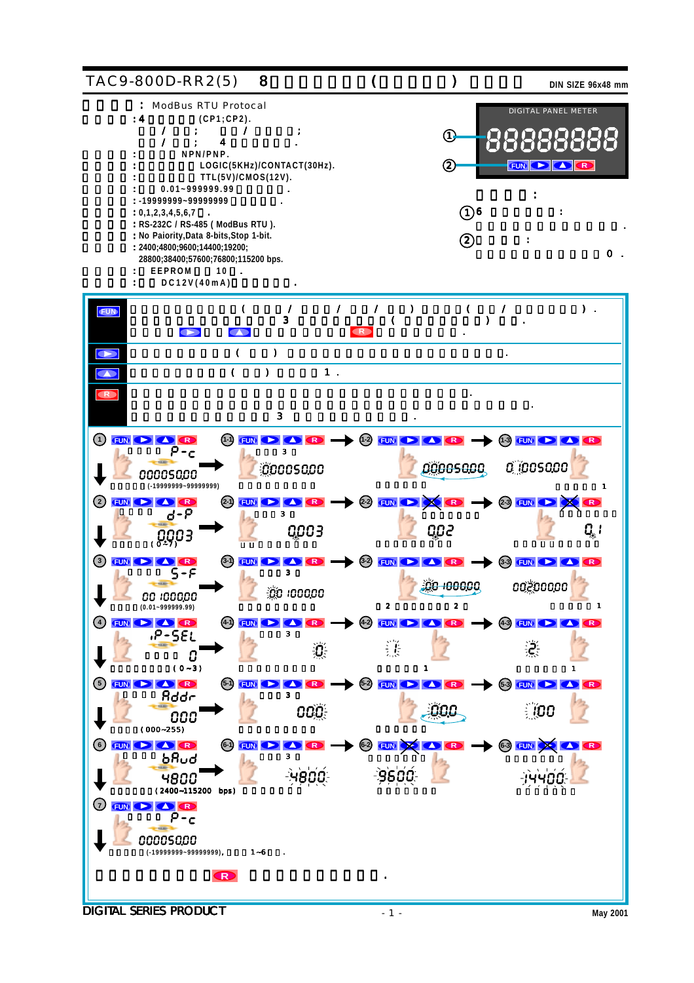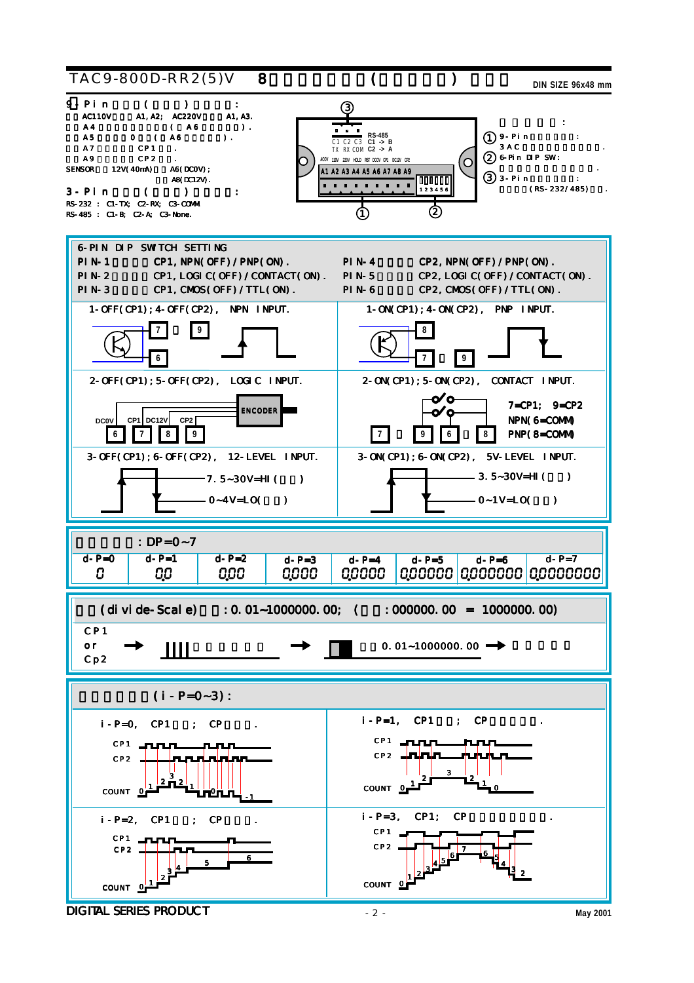

**DIGITAL SERIES PRODUCT** May 2001